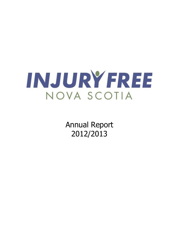

Annual Report 2012/2013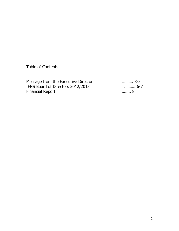Table of Contents

Message from the Executive Director ………. 3-5<br>IFNS Board of Directors 2012/2013 ………. 6-7 IFNS Board of Directors 2012/2013 ……….<br>Financial Report ………. 8-77 Financial Report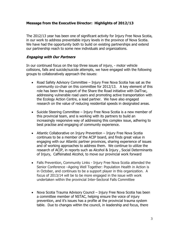## **Message from the Executive Director: Highlights of 2012/13**

The 2012/13 year has been one of significant activity for Injury Free Nova Scotia, in our work to address preventable injury levels in the province of Nova Scotia. We have had the opportunity both to build on existing partnerships and extend our partnership reach to some new individuals and organizations.

#### **Engaging with Our Partners**

In our continued focus on the top three issues of injury, - motor vehicle collisions, falls and suicide/suicide attempts, we have engaged with the following groups to collaboratively approach the issues:

- Road Safety Advisory Committee Injury Free Nova Scotia has sat as the community co-chair on this committee for 2012/13. A key element of this role has been the support of the Share the Road initiative with DalTrac, addressing vulnerable road users and promoting active transportation with the Ecology Action Centre, a lead partner. We have also engaged research on the value of reducing residential speeds in designated areas.
- Suicide Steering Committee Injury Free Nova Scotia is a new member of this provincial team, and is working with its partners to build an increasingly responsive way of addressing this complex issue, adhering to best practise and engaging of community experience.
- Atlantic Collaborative on Injury Prevention Injury Free Nova Scotia continues to be a member of the ACIP board, and finds great value in engaging with our Atlantic partner provinces, sharing experience of issues and of working approaches to address them. We continue to utilize the research of ACIP, in reports such as Alcohol & Injury , Social Determinants of Injury, Caffeinated Alcohol, to move our provincial work forward
- Falls Prevention, Community Links Injury Free Nova Scotia attended the Senior Conference –Ageing Well Together: Population Health in Action is in October, and continues to be a support player in this organization. A focus of 2013/14 will be to be more engaged in the issue with work undertaken within the provincial Inter-Sectoral Falls Committee
- Nova Scotia Trauma Advisory Council Injury Free Nova Scotia has been a committee member of NSTAC, helping ensure the voice of injury prevention, and it's issues has a profile at the provincial trauma system table. Due to changes within the council, in leadership and focus, there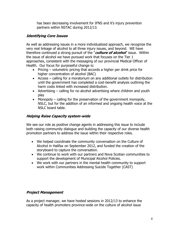has been decreasing involvement for IFNS and it's injury prevention partners within NSTAC during 2012/13.

# **Identifying Core Issues**

As well as addressing issues in a more individualized approach, we recognize the very real linkage of alcohol to all three injury issues, and beyond. WE have therefore continued a strong pursuit of the "**culture of alcohol**" issue. Within the issue of alcohol we have pursued work that focuses on the Tier 1 approaches, consistent with the messaging of our provincial Medical Officer of Health. Our focus for purposeful change is:

- Pricing volumetric pricing that accords a higher per drink price for higher concentration of alcohol (BAC)
- Access calling for a moratorium on any additional outlets for distribution until the government has completed a cost-benefit analysis outlining the harm costs linked with increased distribution.
- Advertising calling for no alcohol advertising where children and youth play
- Monopoly  $-$  calling for the preservation of the government monopoly, NSLC, but for the addition of an informed and ongoing health voice at the NSLC board table.

# **Helping Raise Capacity system-wide**

We see our role as positive change agents in addressing this issue to include both raising community dialogue and building the capacity of our diverse health promotion partners to address the issue within their respective roles.

- We helped coordinate the community conversation on the Culture of Alcohol in Halifax on September 2012, and funded the creation of the storyboard to capture the conversation.
- We continue to work with our partners and Nova Scotian communities to support the development of Municipal Alcohol Policies.
- We work with our partners in the mental health community to support work within Communities Addressing Suicide Together (CAST)

# **Project Management**

As a project manager, we have hosted sessions in 2012/13 to enhance the capacity of health promoters province-wide on the culture of alcohol issue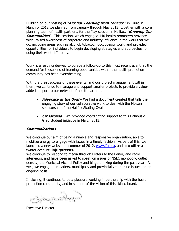Building on our hosting of "**Alcohol, Learning from Tobacco"** in Truro in March of 2012 we planned from January through May 2013, together with a core planning team of health partners, for the May session in Halifax, **"Knowing Our Communities**". This session, which engaged 140 health promoters provincewide, raised awareness of corporate and industry influence in the work that we do, including areas such as alcohol, tobacco, food/obesity work, and provided opportunities for individuals to begin developing strategies and approaches for doing their work differently.

Work is already underway to pursue a follow-up to this most recent event, as the demand for these kind of learning opportunities within the health promotion community has been overwhelming.

With the great success of these events, and our project management within them, we continue to manage and support smaller projects to provide a valueadded support to our network of health partners.

- **Advocacy at the Oval** We had a document created that tells the engaging story of our collaborative work to deal with the Molson sponsorship of the Halifax Skating Oval.
- **Crossroads** We provided coordinating support to this Dalhousie Grad student initiative in March 2013.

## **Communications**

We continue our aim of being a nimble and responsive organization, able to mobilize energy to engage with issues in a timely fashion. As part of this, we launched a new website in summer of 2012, [www.ifns.ca,](http://www.ifns.ca/) and also utilize a twitter account, **injuryfreens.** 

We continue to respond to media through Letters to the Editor, and radio interviews, and have been asked to speak on issues of NSLC monopoly, outlet density, the Municipal Alcohol Policy and binge drinking during the past year. As well, we engage our leaders, municipally and provincially to pursue issues, on an ongoing basis.

In closing, it continues to be a pleasure working in partnership with the health promotion community, and in support of the vision of this skilled board.

Indyanskagen

Executive Director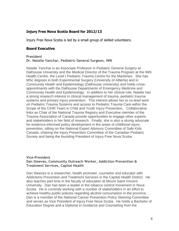## **Injury Free Nova Scotia Board for 2012/13**

Injury Free Nova Scotia is led by a small group of skilled volunteers.

## **Board Executive**

#### **President Dr. Natalie Yanchar, Pediatric General Surgeon, IWK**

Natalie Yanchar is an Associate Professor in Pediatric General Surgery at Dalhousie University and the Medical Director of the Trauma Program at the IWK Health Centre, the Level I Pediatric Trauma Centre for the Maritimes. She has MSc degrees in both Experimental Surgery (University of Alberta) and in Community Health and Epidemiology (Dalhousie University) and holds crossappointments with the Dalhousie Departments of Emergency Medicine and Community Health and Epidemiology. In addition to her clinical role, Natalie has a strong research interest in clinical management of trauma, pediatric trauma systems and primary injury prevention. This interest allows her to co-lead work on Pediatric Trauma Systems and access to Pediatric Trauma Care within the Scope of the CIHR Team in Child and Youth Injury Prevention. Collaborative links as Chair of the National Trauma Registry and Executive member of the Trauma Association of Canada provide opportunities to engage other experts and stakeholders in her field of research. Finally, she is also a strong advocate for evidence-informed policy development in the areas of childhood injury prevention, sitting on the National Expert Advisory Committee of Safe Kids Canada, chairing the Injury Prevention Committee of the Canadian Pediatric Society and being the founding President of Injury Free Nova Scotia.

#### **Vice-President Dan Steeves, Community Outreach Worker, Addiction Prevention & Treatment Services, Capital Health**

Dan Steeves is a researcher, health promoter, counselor and educator with Addictions Prevention and Treatment Services in the Capital Health District. He also teaches part time in the faculty of education at Mount Saint Vincent University. Dan has been a leader in the tobacco control movement in Nova Scotia. He is currently working with a number of stakeholders in an effort to achieve healthy public policies regarding alcohol consumption in the province. Dan is a member of the National Cancer Prevention Policy Steering Committee and serves as Vice President of Injury Free Nova Scotia. He holds a Bachelor of Education Degree and a Diploma in Guidance and Counseling from the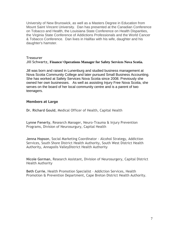University of New Brunswick, as well as a Masters Degree in Education from Mount Saint Vincent University. Dan has presented at the Canadian Conference on Tobacco and Health, the Louisiana State Conference on Health Disparities, the Virginia State Conference of Addictions Professionals and the World Cancer & Tobacco Conference. Dan lives in Halifax with his wife, daughter and his daughter's hamster.

#### **Treasurer Jill Schwartz, Finance/ Operations Manager for Safety Services Nova Scotia.**

Jill was born and raised in Lunenburg and studied business management at Nova Scotia Community College and later pursued Small Business Accounting. She has worked at Safety Services Nova Scotia since 2008. Previously she owned her own businesses. As well as assisting Injury Free Nova Scotia, she serves on the board of her local community centre and is a parent of two teenagers.

#### **Members at Large**

**Dr. Richard Gould**, Medical Officer of Health, Capital Health

**Lynne Fenerty**, Research Manager, Neuro-Trauma & Injury Prevention Programs, Division of Neurosurgury, Capital Health

**Jenna Hopson**, Social Marketing Coordinator - Alcohol Strategy, Addiction Services, South Shore District Health Authority, South West District Health Authority, Annapolis ValleyDistrict Health Authority

**Nicole Gorman**, Research Assistant, Division of Neurosurgery, Capital District Health Authority

**Beth Currie**, Health Promotion Specialist – Addiction Services, Health Promotion & Prevention Department, Cape Breton District Health Authority.